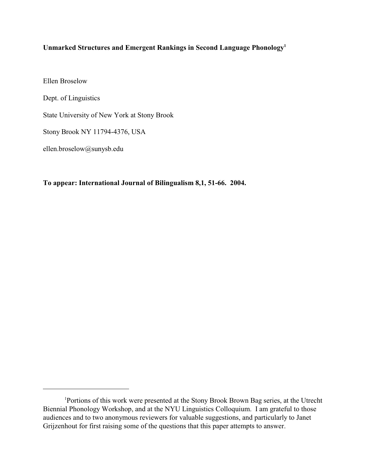Ellen Broselow Dept. of Linguistics State University of New York at Stony Brook Stony Brook NY 11794-4376, USA ellen.broselow@sunysb.edu

**To appear: International Journal of Bilingualism 8,1, 51-66. 2004.**

Portions of this work were presented at the Stony Brook Brown Bag series, at the Utrecht <sup>1</sup> Biennial Phonology Workshop, and at the NYU Linguistics Colloquium. I am grateful to those audiences and to two anonymous reviewers for valuable suggestions, and particularly to Janet Grijzenhout for first raising some of the questions that this paper attempts to answer.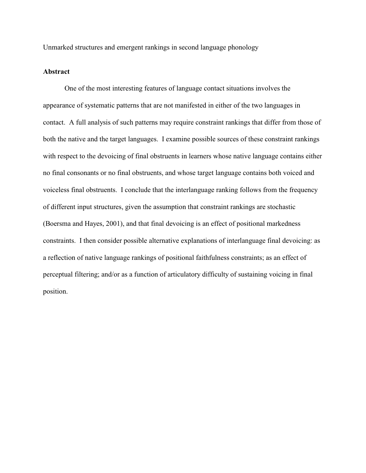### **Abstract**

One of the most interesting features of language contact situations involves the appearance of systematic patterns that are not manifested in either of the two languages in contact. A full analysis of such patterns may require constraint rankings that differ from those of both the native and the target languages. I examine possible sources of these constraint rankings with respect to the devoicing of final obstruents in learners whose native language contains either no final consonants or no final obstruents, and whose target language contains both voiced and voiceless final obstruents. I conclude that the interlanguage ranking follows from the frequency of different input structures, given the assumption that constraint rankings are stochastic (Boersma and Hayes, 2001), and that final devoicing is an effect of positional markedness constraints. I then consider possible alternative explanations of interlanguage final devoicing: as a reflection of native language rankings of positional faithfulness constraints; as an effect of perceptual filtering; and/or as a function of articulatory difficulty of sustaining voicing in final position.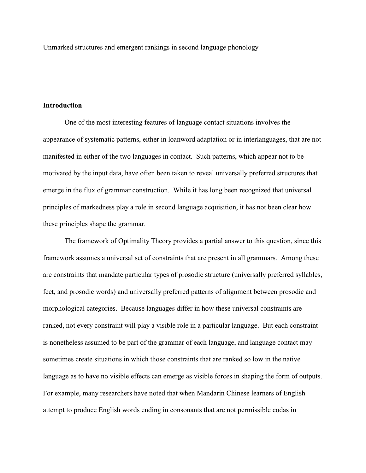## **Introduction**

One of the most interesting features of language contact situations involves the appearance of systematic patterns, either in loanword adaptation or in interlanguages, that are not manifested in either of the two languages in contact. Such patterns, which appear not to be motivated by the input data, have often been taken to reveal universally preferred structures that emerge in the flux of grammar construction. While it has long been recognized that universal principles of markedness play a role in second language acquisition, it has not been clear how these principles shape the grammar.

The framework of Optimality Theory provides a partial answer to this question, since this framework assumes a universal set of constraints that are present in all grammars. Among these are constraints that mandate particular types of prosodic structure (universally preferred syllables, feet, and prosodic words) and universally preferred patterns of alignment between prosodic and morphological categories. Because languages differ in how these universal constraints are ranked, not every constraint will play a visible role in a particular language. But each constraint is nonetheless assumed to be part of the grammar of each language, and language contact may sometimes create situations in which those constraints that are ranked so low in the native language as to have no visible effects can emerge as visible forces in shaping the form of outputs. For example, many researchers have noted that when Mandarin Chinese learners of English attempt to produce English words ending in consonants that are not permissible codas in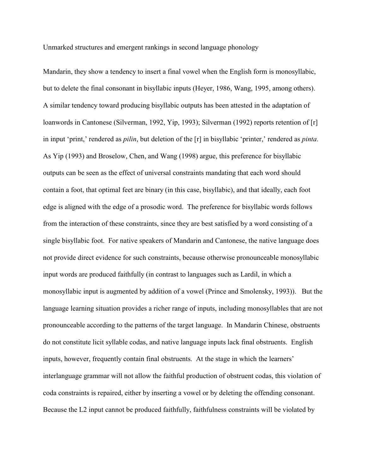Mandarin, they show a tendency to insert a final vowel when the English form is monosyllabic, but to delete the final consonant in bisyllabic inputs (Heyer, 1986, Wang, 1995, among others). A similar tendency toward producing bisyllabic outputs has been attested in the adaptation of loanwords in Cantonese (Silverman, 1992, Yip, 1993); Silverman (1992) reports retention of [r] in input 'print,' rendered as *pilin*, but deletion of the [r] in bisyllabic 'printer,' rendered as *pinta*. As Yip (1993) and Broselow, Chen, and Wang (1998) argue, this preference for bisyllabic outputs can be seen as the effect of universal constraints mandating that each word should contain a foot, that optimal feet are binary (in this case, bisyllabic), and that ideally, each foot edge is aligned with the edge of a prosodic word. The preference for bisyllabic words follows from the interaction of these constraints, since they are best satisfied by a word consisting of a single bisyllabic foot. For native speakers of Mandarin and Cantonese, the native language does not provide direct evidence for such constraints, because otherwise pronounceable monosyllabic input words are produced faithfully (in contrast to languages such as Lardil, in which a monosyllabic input is augmented by addition of a vowel (Prince and Smolensky, 1993)). But the language learning situation provides a richer range of inputs, including monosyllables that are not pronounceable according to the patterns of the target language. In Mandarin Chinese, obstruents do not constitute licit syllable codas, and native language inputs lack final obstruents. English inputs, however, frequently contain final obstruents. At the stage in which the learners' interlanguage grammar will not allow the faithful production of obstruent codas, this violation of coda constraints is repaired, either by inserting a vowel or by deleting the offending consonant. Because the L2 input cannot be produced faithfully, faithfulness constraints will be violated by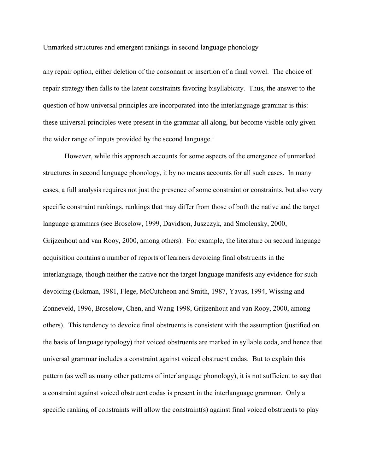any repair option, either deletion of the consonant or insertion of a final vowel. The choice of repair strategy then falls to the latent constraints favoring bisyllabicity. Thus, the answer to the question of how universal principles are incorporated into the interlanguage grammar is this: these universal principles were present in the grammar all along, but become visible only given the wider range of inputs provided by the second language.<sup>1</sup>

However, while this approach accounts for some aspects of the emergence of unmarked structures in second language phonology, it by no means accounts for all such cases. In many cases, a full analysis requires not just the presence of some constraint or constraints, but also very specific constraint rankings, rankings that may differ from those of both the native and the target language grammars (see Broselow, 1999, Davidson, Juszczyk, and Smolensky, 2000, Grijzenhout and van Rooy, 2000, among others). For example, the literature on second language acquisition contains a number of reports of learners devoicing final obstruents in the interlanguage, though neither the native nor the target language manifests any evidence for such devoicing (Eckman, 1981, Flege, McCutcheon and Smith, 1987, Yavas, 1994, Wissing and Zonneveld, 1996, Broselow, Chen, and Wang 1998, Grijzenhout and van Rooy, 2000, among others). This tendency to devoice final obstruents is consistent with the assumption (justified on the basis of language typology) that voiced obstruents are marked in syllable coda, and hence that universal grammar includes a constraint against voiced obstruent codas. But to explain this pattern (as well as many other patterns of interlanguage phonology), it is not sufficient to say that a constraint against voiced obstruent codas is present in the interlanguage grammar. Only a specific ranking of constraints will allow the constraint(s) against final voiced obstruents to play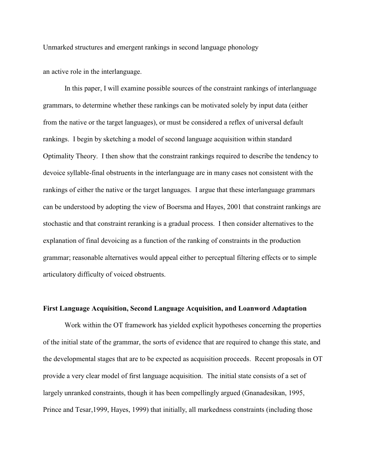an active role in the interlanguage.

In this paper, I will examine possible sources of the constraint rankings of interlanguage grammars, to determine whether these rankings can be motivated solely by input data (either from the native or the target languages), or must be considered a reflex of universal default rankings. I begin by sketching a model of second language acquisition within standard Optimality Theory. I then show that the constraint rankings required to describe the tendency to devoice syllable-final obstruents in the interlanguage are in many cases not consistent with the rankings of either the native or the target languages. I argue that these interlanguage grammars can be understood by adopting the view of Boersma and Hayes, 2001 that constraint rankings are stochastic and that constraint reranking is a gradual process. I then consider alternatives to the explanation of final devoicing as a function of the ranking of constraints in the production grammar; reasonable alternatives would appeal either to perceptual filtering effects or to simple articulatory difficulty of voiced obstruents.

## **First Language Acquisition, Second Language Acquisition, and Loanword Adaptation**

Work within the OT framework has yielded explicit hypotheses concerning the properties of the initial state of the grammar, the sorts of evidence that are required to change this state, and the developmental stages that are to be expected as acquisition proceeds. Recent proposals in OT provide a very clear model of first language acquisition. The initial state consists of a set of largely unranked constraints, though it has been compellingly argued (Gnanadesikan, 1995, Prince and Tesar,1999, Hayes, 1999) that initially, all markedness constraints (including those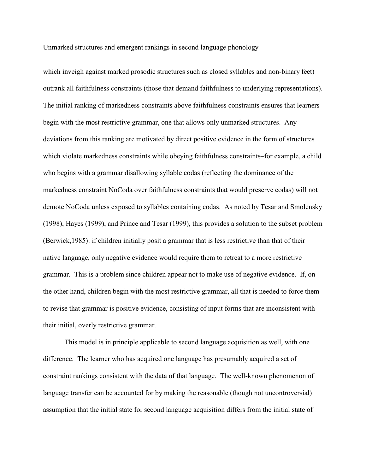which inveigh against marked prosodic structures such as closed syllables and non-binary feet) outrank all faithfulness constraints (those that demand faithfulness to underlying representations). The initial ranking of markedness constraints above faithfulness constraints ensures that learners begin with the most restrictive grammar, one that allows only unmarked structures. Any deviations from this ranking are motivated by direct positive evidence in the form of structures which violate markedness constraints while obeying faithfulness constraints–for example, a child who begins with a grammar disallowing syllable codas (reflecting the dominance of the markedness constraint NoCoda over faithfulness constraints that would preserve codas) will not demote NoCoda unless exposed to syllables containing codas. As noted by Tesar and Smolensky (1998), Hayes (1999), and Prince and Tesar (1999), this provides a solution to the subset problem (Berwick,1985): if children initially posit a grammar that is less restrictive than that of their native language, only negative evidence would require them to retreat to a more restrictive grammar. This is a problem since children appear not to make use of negative evidence. If, on the other hand, children begin with the most restrictive grammar, all that is needed to force them to revise that grammar is positive evidence, consisting of input forms that are inconsistent with their initial, overly restrictive grammar.

This model is in principle applicable to second language acquisition as well, with one difference. The learner who has acquired one language has presumably acquired a set of constraint rankings consistent with the data of that language. The well-known phenomenon of language transfer can be accounted for by making the reasonable (though not uncontroversial) assumption that the initial state for second language acquisition differs from the initial state of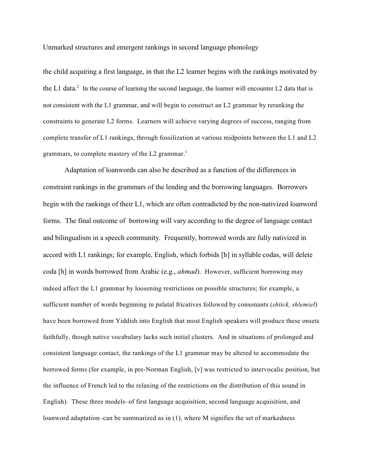the child acquiring a first language, in that the L2 learner begins with the rankings motivated by the L1 data. $^2$  In the course of learning the second language, the learner will encounter L2 data that is not consistent with the L1 grammar, and will begin to construct an L2 grammar by reranking the constraints to generate L2 forms. Learners will achieve varying degrees of success, ranging from complete transfer of L1 rankings, through fossilization at various midpoints between the L1 and L2 grammars, to complete mastery of the L2 grammar.<sup>3</sup>

Adaptation of loanwords can also be described as a function of the differences in constraint rankings in the grammars of the lending and the borrowing languages. Borrowers begin with the rankings of their L1, which are often contradicted by the non-nativized loanword forms. The final outcome of borrowing will vary according to the degree of language contact and bilingualism in a speech community. Frequently, borrowed words are fully nativized in accord with L1 rankings; for example, English, which forbids [h] in syllable codas, will delete coda [h] in words borrowed from Arabic (e.g., *ahmad*). However, sufficient borrowing may indeed affect the L1 grammar by loosening restrictions on possible structures; for example, a sufficient number of words beginning in palatal fricatives followed by consonants (*shtick, shlemiel*) have been borrowed from Yiddish into English that most English speakers will produce these onsets faithfully, though native vocabulary lacks such initial clusters. And in situations of prolonged and consistent language contact, the rankings of the L1 grammar may be altered to accommodate the borrowed forms (for example, in pre-Norman English, [v] was restricted to intervocalic position, but the influence of French led to the relaxing of the restrictions on the distribution of this sound in English). These three models–of first language acquisition, second language acquisition, and loanword adaptation–can be summarized as in (1), where M signifies the set of markedness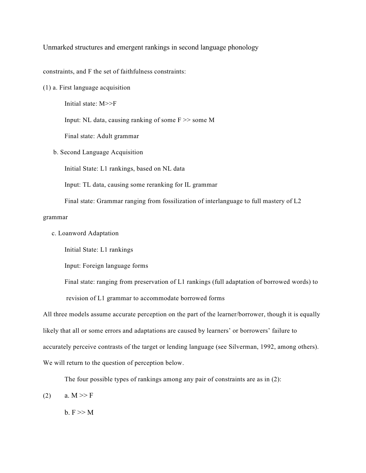constraints, and F the set of faithfulness constraints:

(1) a. First language acquisition

Initial state: M>>F

Input: NL data, causing ranking of some F >> some M

Final state: Adult grammar

b. Second Language Acquisition

Initial State: L1 rankings, based on NL data

Input: TL data, causing some reranking for IL grammar

Final state: Grammar ranging from fossilization of interlanguage to full mastery of L2

#### grammar

c. Loanword Adaptation

Initial State: L1 rankings

Input: Foreign language forms

Final state: ranging from preservation of L1 rankings (full adaptation of borrowed words) to revision of L1 grammar to accommodate borrowed forms

All three models assume accurate perception on the part of the learner/borrower, though it is equally likely that all or some errors and adaptations are caused by learners' or borrowers' failure to accurately perceive contrasts of the target or lending language (see Silverman, 1992, among others). We will return to the question of perception below.

The four possible types of rankings among any pair of constraints are as in (2):

(2) a.  $M \gg F$ 

 $b. F >> M$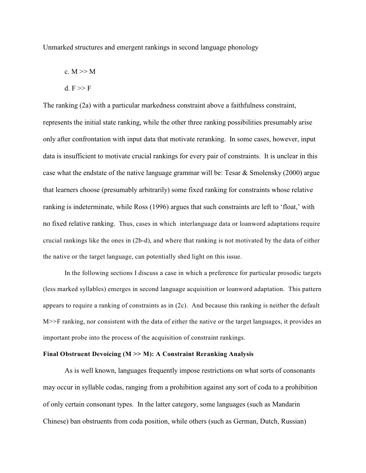$$
c. M \gg M
$$

d.  $F \gg F$ 

The ranking (2a) with a particular markedness constraint above a faithfulness constraint, represents the initial state ranking, while the other three ranking possibilities presumably arise only after confrontation with input data that motivate reranking. In some cases, however, input data is insufficient to motivate crucial rankings for every pair of constraints. It is unclear in this case what the endstate of the native language grammar will be: Tesar & Smolensky (2000) argue that learners choose (presumably arbitrarily) some fixed ranking for constraints whose relative ranking is indeterminate, while Ross (1996) argues that such constraints are left to 'float,' with no fixed relative ranking. Thus, cases in which interlanguage data or loanword adaptations require crucial rankings like the ones in (2b-d), and where that ranking is not motivated by the data of either the native or the target language, can potentially shed light on this issue.

In the following sections I discuss a case in which a preference for particular prosodic targets (less marked syllables) emerges in second language acquisition or loanword adaptation. This pattern appears to require a ranking of constraints as in (2c). And because this ranking is neither the default M >>F ranking, nor consistent with the data of either the native or the target languages, it provides an important probe into the process of the acquisition of constraint rankings.

#### **Final Obstruent Devoicing (M >> M): A Constraint Reranking Analysis**

As is well known, languages frequently impose restrictions on what sorts of consonants may occur in syllable codas, ranging from a prohibition against any sort of coda to a prohibition of only certain consonant types. In the latter category, some languages (such as Mandarin Chinese) ban obstruents from coda position, while others (such as German, Dutch, Russian)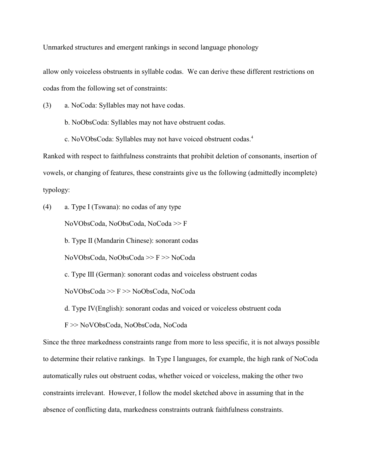allow only voiceless obstruents in syllable codas. We can derive these different restrictions on codas from the following set of constraints:

(3) a. NoCoda: Syllables may not have codas.

b. NoObsCoda: Syllables may not have obstruent codas.

c. NoVObsCoda: Syllables may not have voiced obstruent codas.<sup>4</sup>

Ranked with respect to faithfulness constraints that prohibit deletion of consonants, insertion of vowels, or changing of features, these constraints give us the following (admittedly incomplete) typology:

(4) a. Type I (Tswana): no codas of any type NoVObsCoda, NoObsCoda, NoCoda >> F b. Type II (Mandarin Chinese): sonorant codas NoVObsCoda, NoObsCoda >> F >> NoCoda c. Type III (German): sonorant codas and voiceless obstruent codas NoVObsCoda >> F >> NoObsCoda, NoCoda d. Type IV(English): sonorant codas and voiced or voiceless obstruent coda F >> NoVObsCoda, NoObsCoda, NoCoda

Since the three markedness constraints range from more to less specific, it is not always possible to determine their relative rankings. In Type I languages, for example, the high rank of NoCoda automatically rules out obstruent codas, whether voiced or voiceless, making the other two constraints irrelevant. However, I follow the model sketched above in assuming that in the absence of conflicting data, markedness constraints outrank faithfulness constraints.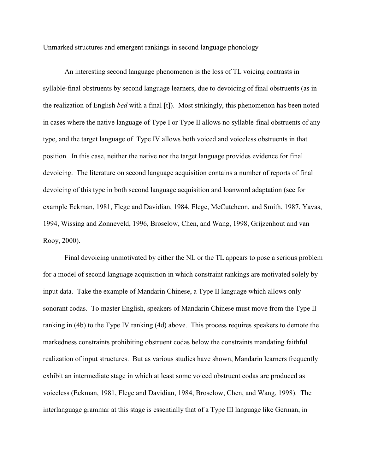An interesting second language phenomenon is the loss of TL voicing contrasts in syllable-final obstruents by second language learners, due to devoicing of final obstruents (as in the realization of English *bed* with a final [t]). Most strikingly, this phenomenon has been noted in cases where the native language of Type I or Type II allows no syllable-final obstruents of any type, and the target language of Type IV allows both voiced and voiceless obstruents in that position. In this case, neither the native nor the target language provides evidence for final devoicing. The literature on second language acquisition contains a number of reports of final devoicing of this type in both second language acquisition and loanword adaptation (see for example Eckman, 1981, Flege and Davidian, 1984, Flege, McCutcheon, and Smith, 1987, Yavas, 1994, Wissing and Zonneveld, 1996, Broselow, Chen, and Wang, 1998, Grijzenhout and van Rooy, 2000).

Final devoicing unmotivated by either the NL or the TL appears to pose a serious problem for a model of second language acquisition in which constraint rankings are motivated solely by input data. Take the example of Mandarin Chinese, a Type II language which allows only sonorant codas. To master English, speakers of Mandarin Chinese must move from the Type II ranking in (4b) to the Type IV ranking (4d) above. This process requires speakers to demote the markedness constraints prohibiting obstruent codas below the constraints mandating faithful realization of input structures. But as various studies have shown, Mandarin learners frequently exhibit an intermediate stage in which at least some voiced obstruent codas are produced as voiceless (Eckman, 1981, Flege and Davidian, 1984, Broselow, Chen, and Wang, 1998). The interlanguage grammar at this stage is essentially that of a Type III language like German, in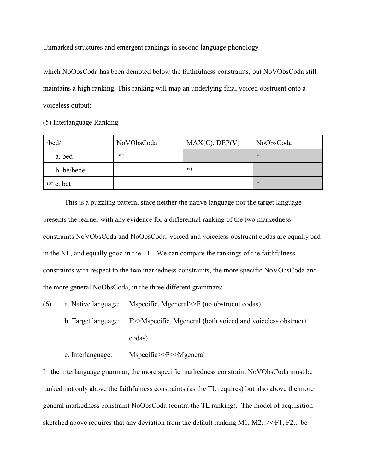which NoObsCoda has been demoted below the faithfulness constraints, but NoVObsCoda still maintains a high ranking. This ranking will map an underlying final voiced obstruent onto a voiceless output:

(5) Interlanguage Ranking

| /bed/               | NoVObsCoda | MAX(C), DEP(V) | NoObsCoda |
|---------------------|------------|----------------|-----------|
| a. bed              | $*1$       |                | ∗         |
| b. be/bede          |            | $*$            |           |
| $\mathbb{R}$ c. bet |            |                | ∗         |

This is a puzzling pattern, since neither the native language nor the target language presents the learner with any evidence for a differential ranking of the two markedness constraints NoVObsCoda and NoObsCoda: voiced and voiceless obstruent codas are equally bad in the NL, and equally good in the TL. We can compare the rankings of the faithfulness constraints with respect to the two markedness constraints, the more specific NoVObsCoda and the more general NoObsCoda, in the three different grammars:

(6) a. Native language: Mspecific, Mgeneral>>F (no obstruent codas)

b. Target language: F $>$ Mspecific, Mgeneral (both voiced and voiceless obstruent codas)

c. Interlanguage: Mspecific>>F>>Mgeneral

In the interlanguage grammar, the more specific markedness constraint NoVObsCoda must be ranked not only above the faithfulness constraints (as the TL requires) but also above the more general markedness constraint NoObsCoda (contra the TL ranking). The model of acquisition sketched above requires that any deviation from the default ranking M1, M2...>>F1, F2... be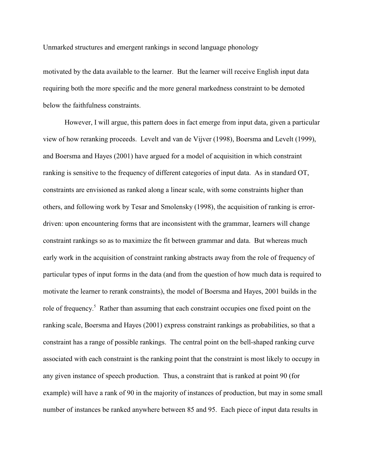motivated by the data available to the learner. But the learner will receive English input data requiring both the more specific and the more general markedness constraint to be demoted below the faithfulness constraints.

However, I will argue, this pattern does in fact emerge from input data, given a particular view of how reranking proceeds. Levelt and van de Vijver (1998), Boersma and Levelt (1999), and Boersma and Hayes (2001) have argued for a model of acquisition in which constraint ranking is sensitive to the frequency of different categories of input data. As in standard OT, constraints are envisioned as ranked along a linear scale, with some constraints higher than others, and following work by Tesar and Smolensky (1998), the acquisition of ranking is errordriven: upon encountering forms that are inconsistent with the grammar, learners will change constraint rankings so as to maximize the fit between grammar and data. But whereas much early work in the acquisition of constraint ranking abstracts away from the role of frequency of particular types of input forms in the data (and from the question of how much data is required to motivate the learner to rerank constraints), the model of Boersma and Hayes, 2001 builds in the role of frequency.<sup>5</sup> Rather than assuming that each constraint occupies one fixed point on the ranking scale, Boersma and Hayes (2001) express constraint rankings as probabilities, so that a constraint has a range of possible rankings. The central point on the bell-shaped ranking curve associated with each constraint is the ranking point that the constraint is most likely to occupy in any given instance of speech production. Thus, a constraint that is ranked at point 90 (for example) will have a rank of 90 in the majority of instances of production, but may in some small number of instances be ranked anywhere between 85 and 95. Each piece of input data results in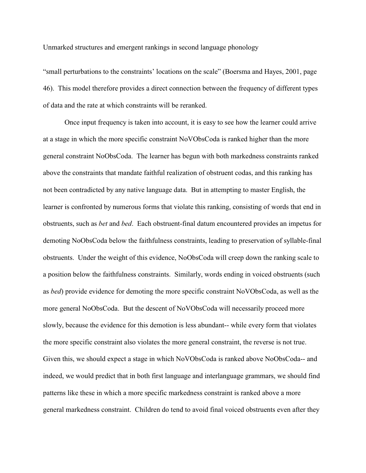"small perturbations to the constraints' locations on the scale" (Boersma and Hayes, 2001, page 46). This model therefore provides a direct connection between the frequency of different types of data and the rate at which constraints will be reranked.

Once input frequency is taken into account, it is easy to see how the learner could arrive at a stage in which the more specific constraint NoVObsCoda is ranked higher than the more general constraint NoObsCoda. The learner has begun with both markedness constraints ranked above the constraints that mandate faithful realization of obstruent codas, and this ranking has not been contradicted by any native language data. But in attempting to master English, the learner is confronted by numerous forms that violate this ranking, consisting of words that end in obstruents, such as *bet* and *bed*. Each obstruent-final datum encountered provides an impetus for demoting NoObsCoda below the faithfulness constraints, leading to preservation of syllable-final obstruents. Under the weight of this evidence, NoObsCoda will creep down the ranking scale to a position below the faithfulness constraints. Similarly, words ending in voiced obstruents (such as *bed*) provide evidence for demoting the more specific constraint NoVObsCoda, as well as the more general NoObsCoda. But the descent of NoVObsCoda will necessarily proceed more slowly, because the evidence for this demotion is less abundant-- while every form that violates the more specific constraint also violates the more general constraint, the reverse is not true. Given this, we should expect a stage in which NoVObsCoda is ranked above NoObsCoda-- and indeed, we would predict that in both first language and interlanguage grammars, we should find patterns like these in which a more specific markedness constraint is ranked above a more general markedness constraint. Children do tend to avoid final voiced obstruents even after they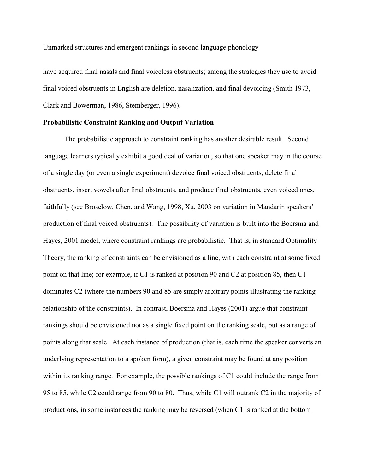have acquired final nasals and final voiceless obstruents; among the strategies they use to avoid final voiced obstruents in English are deletion, nasalization, and final devoicing (Smith 1973, Clark and Bowerman, 1986, Stemberger, 1996).

#### **Probabilistic Constraint Ranking and Output Variation**

The probabilistic approach to constraint ranking has another desirable result. Second language learners typically exhibit a good deal of variation, so that one speaker may in the course of a single day (or even a single experiment) devoice final voiced obstruents, delete final obstruents, insert vowels after final obstruents, and produce final obstruents, even voiced ones, faithfully (see Broselow, Chen, and Wang, 1998, Xu, 2003 on variation in Mandarin speakers' production of final voiced obstruents). The possibility of variation is built into the Boersma and Hayes, 2001 model, where constraint rankings are probabilistic. That is, in standard Optimality Theory, the ranking of constraints can be envisioned as a line, with each constraint at some fixed point on that line; for example, if C1 is ranked at position 90 and C2 at position 85, then C1 dominates C2 (where the numbers 90 and 85 are simply arbitrary points illustrating the ranking relationship of the constraints). In contrast, Boersma and Hayes (2001) argue that constraint rankings should be envisioned not as a single fixed point on the ranking scale, but as a range of points along that scale. At each instance of production (that is, each time the speaker converts an underlying representation to a spoken form), a given constraint may be found at any position within its ranking range. For example, the possible rankings of C1 could include the range from 95 to 85, while C2 could range from 90 to 80. Thus, while C1 will outrank C2 in the majority of productions, in some instances the ranking may be reversed (when C1 is ranked at the bottom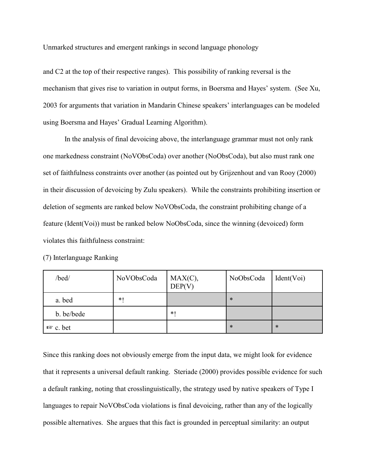and C2 at the top of their respective ranges). This possibility of ranking reversal is the mechanism that gives rise to variation in output forms, in Boersma and Hayes' system. (See Xu, 2003 for arguments that variation in Mandarin Chinese speakers' interlanguages can be modeled using Boersma and Hayes' Gradual Learning Algorithm).

In the analysis of final devoicing above, the interlanguage grammar must not only rank one markedness constraint (NoVObsCoda) over another (NoObsCoda), but also must rank one set of faithfulness constraints over another (as pointed out by Grijzenhout and van Rooy (2000) in their discussion of devoicing by Zulu speakers). While the constraints prohibiting insertion or deletion of segments are ranked below NoVObsCoda, the constraint prohibiting change of a feature (Ident(Voi)) must be ranked below NoObsCoda, since the winning (devoiced) form violates this faithfulness constraint:

| /bed/               | NoVObsCoda | MAX(C),<br>DEP(V) | NoObsCoda | Ident(Voi) |
|---------------------|------------|-------------------|-----------|------------|
| a. bed              | $*1$       |                   | $\ast$    |            |
| b. be/bede          |            | $*1$              |           |            |
| $\mathbb{R}$ c. bet |            |                   | $\ast$    | $\ast$     |

(7) Interlanguage Ranking

Since this ranking does not obviously emerge from the input data, we might look for evidence that it represents a universal default ranking. Steriade (2000) provides possible evidence for such a default ranking, noting that crosslinguistically, the strategy used by native speakers of Type I languages to repair NoVObsCoda violations is final devoicing, rather than any of the logically possible alternatives. She argues that this fact is grounded in perceptual similarity: an output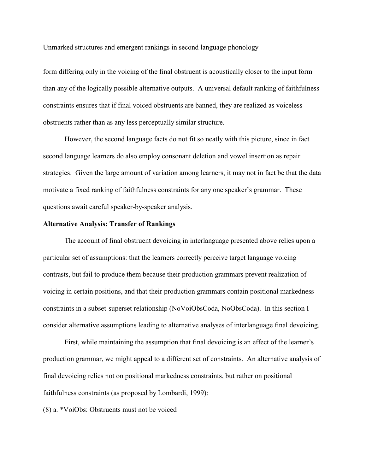form differing only in the voicing of the final obstruent is acoustically closer to the input form than any of the logically possible alternative outputs. A universal default ranking of faithfulness constraints ensures that if final voiced obstruents are banned, they are realized as voiceless obstruents rather than as any less perceptually similar structure.

However, the second language facts do not fit so neatly with this picture, since in fact second language learners do also employ consonant deletion and vowel insertion as repair strategies. Given the large amount of variation among learners, it may not in fact be that the data motivate a fixed ranking of faithfulness constraints for any one speaker's grammar. These questions await careful speaker-by-speaker analysis.

## **Alternative Analysis: Transfer of Rankings**

The account of final obstruent devoicing in interlanguage presented above relies upon a particular set of assumptions: that the learners correctly perceive target language voicing contrasts, but fail to produce them because their production grammars prevent realization of voicing in certain positions, and that their production grammars contain positional markedness constraints in a subset-superset relationship (NoVoiObsCoda, NoObsCoda). In this section I consider alternative assumptions leading to alternative analyses of interlanguage final devoicing.

First, while maintaining the assumption that final devoicing is an effect of the learner's production grammar, we might appeal to a different set of constraints. An alternative analysis of final devoicing relies not on positional markedness constraints, but rather on positional faithfulness constraints (as proposed by Lombardi, 1999):

(8) a. \*VoiObs: Obstruents must not be voiced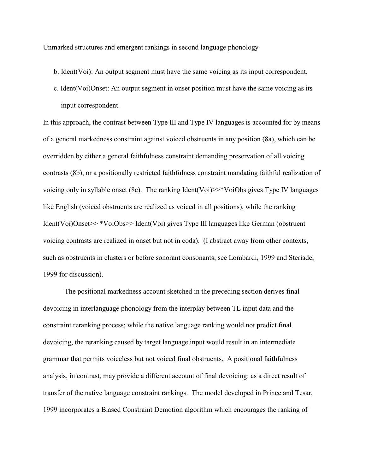- b. Ident(Voi): An output segment must have the same voicing as its input correspondent.
- c. Ident(Voi)Onset: An output segment in onset position must have the same voicing as its input correspondent.

In this approach, the contrast between Type III and Type IV languages is accounted for by means of a general markedness constraint against voiced obstruents in any position (8a), which can be overridden by either a general faithfulness constraint demanding preservation of all voicing contrasts (8b), or a positionally restricted faithfulness constraint mandating faithful realization of voicing only in syllable onset (8c). The ranking Ident(Voi)>>\*VoiObs gives Type IV languages like English (voiced obstruents are realized as voiced in all positions), while the ranking Ident(Voi)Onset>> \*VoiObs>> Ident(Voi) gives Type III languages like German (obstruent voicing contrasts are realized in onset but not in coda). (I abstract away from other contexts, such as obstruents in clusters or before sonorant consonants; see Lombardi, 1999 and Steriade, 1999 for discussion).

The positional markedness account sketched in the preceding section derives final devoicing in interlanguage phonology from the interplay between TL input data and the constraint reranking process; while the native language ranking would not predict final devoicing, the reranking caused by target language input would result in an intermediate grammar that permits voiceless but not voiced final obstruents. A positional faithfulness analysis, in contrast, may provide a different account of final devoicing: as a direct result of transfer of the native language constraint rankings. The model developed in Prince and Tesar, 1999 incorporates a Biased Constraint Demotion algorithm which encourages the ranking of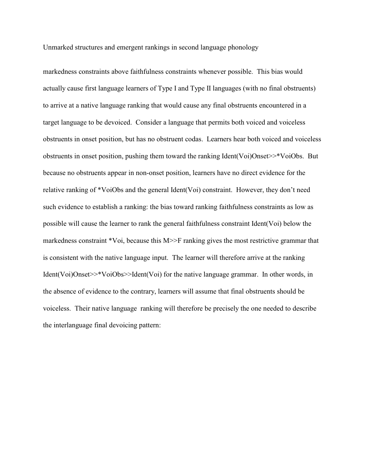markedness constraints above faithfulness constraints whenever possible. This bias would actually cause first language learners of Type I and Type II languages (with no final obstruents) to arrive at a native language ranking that would cause any final obstruents encountered in a target language to be devoiced. Consider a language that permits both voiced and voiceless obstruents in onset position, but has no obstruent codas. Learners hear both voiced and voiceless obstruents in onset position, pushing them toward the ranking Ident(Voi)Onset>>\*VoiObs. But because no obstruents appear in non-onset position, learners have no direct evidence for the relative ranking of \*VoiObs and the general Ident(Voi) constraint. However, they don't need such evidence to establish a ranking: the bias toward ranking faithfulness constraints as low as possible will cause the learner to rank the general faithfulness constraint Ident(Voi) below the markedness constraint \*Voi, because this M>>F ranking gives the most restrictive grammar that is consistent with the native language input. The learner will therefore arrive at the ranking Ident(Voi)Onset>>\*VoiObs>>Ident(Voi) for the native language grammar. In other words, in the absence of evidence to the contrary, learners will assume that final obstruents should be voiceless. Their native language ranking will therefore be precisely the one needed to describe the interlanguage final devoicing pattern: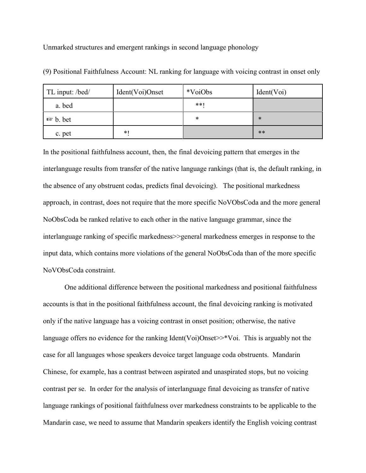| TL input: /bed/     | Ident(Voi)Onset | *VoiObs | Ident(Voi) |
|---------------------|-----------------|---------|------------|
| a. bed              |                 | $***$ 1 |            |
| $\mathbb{R}$ b. bet |                 | ∗       | $\ast$     |
| c. pet              | $*1$            |         | $**$       |

(9) Positional Faithfulness Account: NL ranking for language with voicing contrast in onset only

In the positional faithfulness account, then, the final devoicing pattern that emerges in the interlanguage results from transfer of the native language rankings (that is, the default ranking, in the absence of any obstruent codas, predicts final devoicing). The positional markedness approach, in contrast, does not require that the more specific NoVObsCoda and the more general NoObsCoda be ranked relative to each other in the native language grammar, since the interlanguage ranking of specific markedness>>general markedness emerges in response to the input data, which contains more violations of the general NoObsCoda than of the more specific NoVObsCoda constraint.

One additional difference between the positional markedness and positional faithfulness accounts is that in the positional faithfulness account, the final devoicing ranking is motivated only if the native language has a voicing contrast in onset position; otherwise, the native language offers no evidence for the ranking Ident(Voi)Onset>>\*Voi. This is arguably not the case for all languages whose speakers devoice target language coda obstruents. Mandarin Chinese, for example, has a contrast between aspirated and unaspirated stops, but no voicing contrast per se. In order for the analysis of interlanguage final devoicing as transfer of native language rankings of positional faithfulness over markedness constraints to be applicable to the Mandarin case, we need to assume that Mandarin speakers identify the English voicing contrast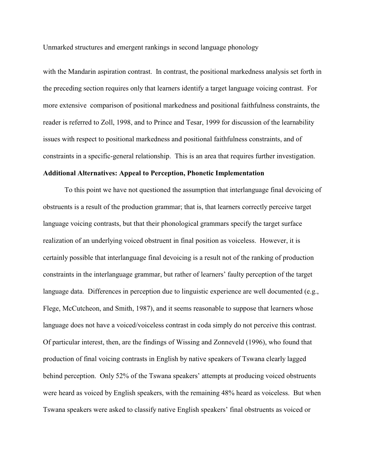with the Mandarin aspiration contrast. In contrast, the positional markedness analysis set forth in the preceding section requires only that learners identify a target language voicing contrast. For more extensive comparison of positional markedness and positional faithfulness constraints, the reader is referred to Zoll, 1998, and to Prince and Tesar, 1999 for discussion of the learnability issues with respect to positional markedness and positional faithfulness constraints, and of constraints in a specific-general relationship. This is an area that requires further investigation.

## **Additional Alternatives: Appeal to Perception, Phonetic Implementation**

To this point we have not questioned the assumption that interlanguage final devoicing of obstruents is a result of the production grammar; that is, that learners correctly perceive target language voicing contrasts, but that their phonological grammars specify the target surface realization of an underlying voiced obstruent in final position as voiceless. However, it is certainly possible that interlanguage final devoicing is a result not of the ranking of production constraints in the interlanguage grammar, but rather of learners' faulty perception of the target language data. Differences in perception due to linguistic experience are well documented (e.g., Flege, McCutcheon, and Smith, 1987), and it seems reasonable to suppose that learners whose language does not have a voiced/voiceless contrast in coda simply do not perceive this contrast. Of particular interest, then, are the findings of Wissing and Zonneveld (1996), who found that production of final voicing contrasts in English by native speakers of Tswana clearly lagged behind perception. Only 52% of the Tswana speakers' attempts at producing voiced obstruents were heard as voiced by English speakers, with the remaining 48% heard as voiceless. But when Tswana speakers were asked to classify native English speakers' final obstruents as voiced or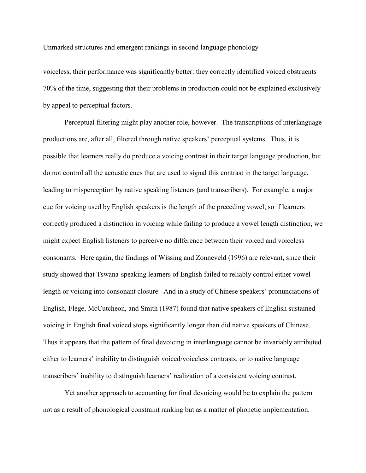voiceless, their performance was significantly better: they correctly identified voiced obstruents 70% of the time, suggesting that their problems in production could not be explained exclusively by appeal to perceptual factors.

Perceptual filtering might play another role, however. The transcriptions of interlanguage productions are, after all, filtered through native speakers' perceptual systems. Thus, it is possible that learners really do produce a voicing contrast in their target language production, but do not control all the acoustic cues that are used to signal this contrast in the target language, leading to misperception by native speaking listeners (and transcribers). For example, a major cue for voicing used by English speakers is the length of the preceding vowel, so if learners correctly produced a distinction in voicing while failing to produce a vowel length distinction, we might expect English listeners to perceive no difference between their voiced and voiceless consonants. Here again, the findings of Wissing and Zonneveld (1996) are relevant, since their study showed that Tswana-speaking learners of English failed to reliably control either vowel length or voicing into consonant closure. And in a study of Chinese speakers' pronunciations of English, Flege, McCutcheon, and Smith (1987) found that native speakers of English sustained voicing in English final voiced stops significantly longer than did native speakers of Chinese. Thus it appears that the pattern of final devoicing in interlanguage cannot be invariably attributed either to learners' inability to distinguish voiced/voiceless contrasts, or to native language transcribers' inability to distinguish learners' realization of a consistent voicing contrast.

Yet another approach to accounting for final devoicing would be to explain the pattern not as a result of phonological constraint ranking but as a matter of phonetic implementation.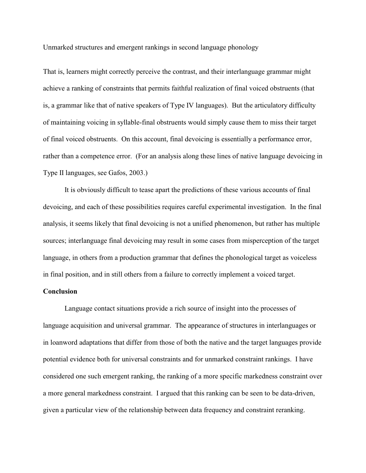That is, learners might correctly perceive the contrast, and their interlanguage grammar might achieve a ranking of constraints that permits faithful realization of final voiced obstruents (that is, a grammar like that of native speakers of Type IV languages). But the articulatory difficulty of maintaining voicing in syllable-final obstruents would simply cause them to miss their target of final voiced obstruents. On this account, final devoicing is essentially a performance error, rather than a competence error. (For an analysis along these lines of native language devoicing in Type II languages, see Gafos, 2003.)

It is obviously difficult to tease apart the predictions of these various accounts of final devoicing, and each of these possibilities requires careful experimental investigation. In the final analysis, it seems likely that final devoicing is not a unified phenomenon, but rather has multiple sources; interlanguage final devoicing may result in some cases from misperception of the target language, in others from a production grammar that defines the phonological target as voiceless in final position, and in still others from a failure to correctly implement a voiced target.

## **Conclusion**

Language contact situations provide a rich source of insight into the processes of language acquisition and universal grammar. The appearance of structures in interlanguages or in loanword adaptations that differ from those of both the native and the target languages provide potential evidence both for universal constraints and for unmarked constraint rankings. I have considered one such emergent ranking, the ranking of a more specific markedness constraint over a more general markedness constraint. I argued that this ranking can be seen to be data-driven, given a particular view of the relationship between data frequency and constraint reranking.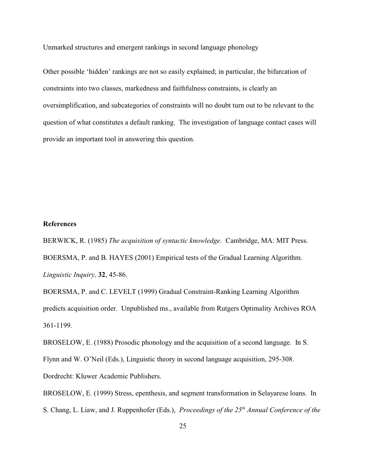Other possible 'hidden' rankings are not so easily explained; in particular, the bifurcation of constraints into two classes, markedness and faithfulness constraints, is clearly an oversimplification, and subcategories of constraints will no doubt turn out to be relevant to the question of what constitutes a default ranking. The investigation of language contact cases will provide an important tool in answering this question.

#### **References**

BERWICK, R. (1985) *The acquisition of syntactic knowledge*. Cambridge, MA: MIT Press. BOERSMA, P. and B. HAYES (2001) Empirical tests of the Gradual Learning Algorithm. *Linguistic Inquiry,* **32**, 45-86.

BOERSMA, P. and C. LEVELT (1999) Gradual Constraint-Ranking Learning Algorithm predicts acquisition order. Unpublished ms., available from Rutgers Optimality Archives ROA 361-1199.

BROSELOW, E. (1988) Prosodic phonology and the acquisition of a second language. In S. Flynn and W. O'Neil (Eds.), Linguistic theory in second language acquisition, 295-308. Dordrecht: Kluwer Academic Publishers.

BROSELOW, E. (1999) Stress, epenthesis, and segment transformation in Selayarese loans. In S. Chang, L. Liaw, and J. Ruppenhofer (Eds.), *Proceedings of the 25<sup>th</sup> Annual Conference of the*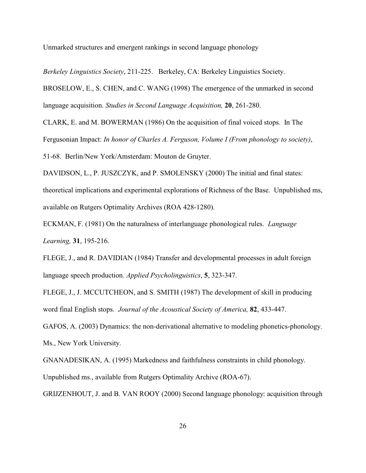*Berkeley Linguistics Society*, 211-225. Berkeley, CA: Berkeley Linguistics Society.

BROSELOW, E., S. CHEN, and C. WANG (1998) The emergence of the unmarked in second language acquisition. *Studies in Second Language Acquisition,* **20**, 261-280.

CLARK, E. and M. BOWERMAN (1986) On the acquisition of final voiced stops. In The Fergusonian Impact: *In honor of Charles A. Ferguson, Volume I (From phonology to society)*, 51-68. Berlin/New York/Amsterdam: Mouton de Gruyter.

DAVIDSON, L., P. JUSZCZYK, and P. SMOLENSKY (2000) The initial and final states: theoretical implications and experimental explorations of Richness of the Base. Unpublished ms, available on Rutgers Optimality Archives (ROA 428-1280).

ECKMAN, F. (1981) On the naturalness of interlanguage phonological rules. *Language Learning,* **31**, 195-216.

FLEGE, J., and R. DAVIDIAN (1984) Transfer and developmental processes in adult foreign language speech production. *Applied Psycholinguistics*, **5**, 323-347.

FLEGE, J., J. MCCUTCHEON, and S. SMITH (1987) The development of skill in producing word final English stops. *Journal of the Acoustical Society of America,* **82**, 433-447.

GAFOS, A. (2003) Dynamics: the non-derivational alternative to modeling phonetics-phonology. Ms., New York University.

GNANADESIKAN, A. (1995) Markedness and faithfulness constraints in child phonology. Unpublished ms., available from Rutgers Optimality Archive (ROA-67).

GRIJZENHOUT, J. and B. VAN ROOY (2000) Second language phonology: acquisition through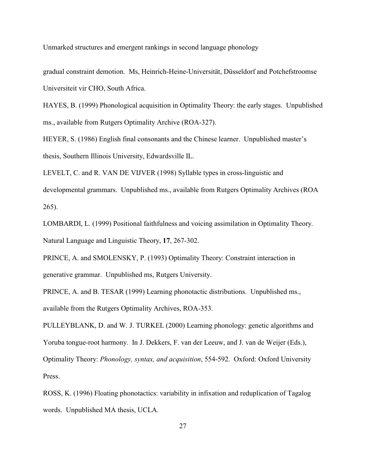gradual constraint demotion. Ms, Heinrich-Heine-Universität, Düsseldorf and Potchefstroomse Universiteit vir CHO, South Africa.

HAYES, B. (1999) Phonological acquisition in Optimality Theory: the early stages. Unpublished ms., available from Rutgers Optimality Archive (ROA-327).

HEYER, S. (1986) English final consonants and the Chinese learner. Unpublished master's thesis, Southern Illinois University, Edwardsville IL.

LEVELT, C. and R. VAN DE VIJVER (1998) Syllable types in cross-linguistic and developmental grammars. Unpublished ms., available from Rutgers Optimality Archives (ROA 265).

LOMBARDI, L. (1999) Positional faithfulness and voicing assimilation in Optimality Theory. Natural Language and Linguistic Theory, **17**, 267-302.

PRINCE, A. and SMOLENSKY, P. (1993) Optimality Theory: Constraint interaction in generative grammar. Unpublished ms, Rutgers University.

PRINCE, A. and B. TESAR (1999) Learning phonotactic distributions. Unpublished ms., available from the Rutgers Optimality Archives, ROA-353.

PULLEYBLANK, D. and W. J. TURKEL (2000) Learning phonology: genetic algorithms and Yoruba tongue-root harmony. In J. Dekkers, F. van der Leeuw, and J. van de Weijer (Eds.), Optimality Theory: *Phonology, syntax, and acquisition*, 554-592. Oxford: Oxford University Press.

ROSS, K. (1996) Floating phonotactics: variability in infixation and reduplication of Tagalog words. Unpublished MA thesis, UCLA.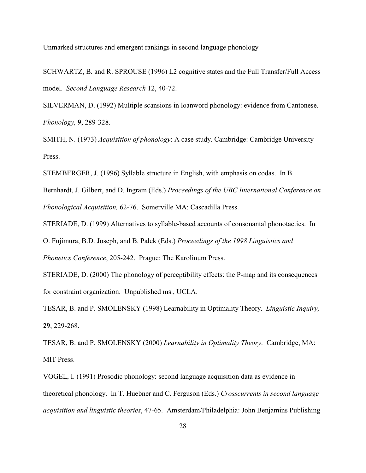SCHWARTZ, B. and R. SPROUSE (1996) L2 cognitive states and the Full Transfer/Full Access model. *Second Language Research* 12, 40-72.

SILVERMAN, D. (1992) Multiple scansions in loanword phonology: evidence from Cantonese. *Phonology,* **9**, 289-328.

SMITH, N. (1973) *Acquisition of phonology*: A case study. Cambridge: Cambridge University Press.

STEMBERGER, J. (1996) Syllable structure in English, with emphasis on codas. In B.

Bernhardt, J. Gilbert, and D. Ingram (Eds.) *Proceedings of the UBC International Conference on Phonological Acquisition,* 62-76. Somerville MA: Cascadilla Press.

STERIADE, D. (1999) Alternatives to syllable-based accounts of consonantal phonotactics. In O. Fujimura, B.D. Joseph, and B. Palek (Eds.) *Proceedings of the 1998 Linguistics and Phonetics Conference*, 205-242. Prague: The Karolinum Press.

STERIADE, D. (2000) The phonology of perceptibility effects: the P-map and its consequences for constraint organization. Unpublished ms., UCLA.

TESAR, B. and P. SMOLENSKY (1998) Learnability in Optimality Theory. *Linguistic Inquiry,* **29**, 229-268.

TESAR, B. and P. SMOLENSKY (2000) *Learnability in Optimality Theory*. Cambridge, MA: MIT Press.

VOGEL, I. (1991) Prosodic phonology: second language acquisition data as evidence in theoretical phonology. In T. Huebner and C. Ferguson (Eds.) *Crosscurrents in second language acquisition and linguistic theories*, 47-65. Amsterdam/Philadelphia: John Benjamins Publishing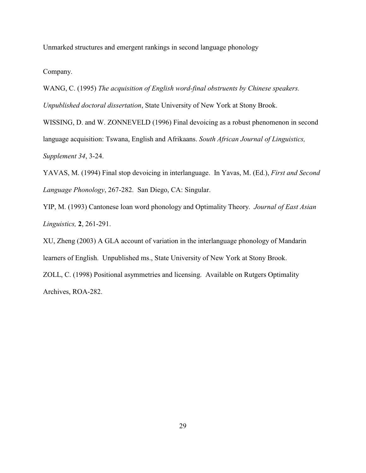Company.

WANG, C. (1995) *The acquisition of English word-final obstruents by Chinese speakers. Unpublished doctoral dissertation*, State University of New York at Stony Brook.

WISSING, D. and W. ZONNEVELD (1996) Final devoicing as a robust phenomenon in second language acquisition: Tswana, English and Afrikaans. *South African Journal of Linguistics, Supplement 34*, 3-24.

YAVAS, M. (1994) Final stop devoicing in interlanguage. In Yavas, M. (Ed.), *First and Second Language Phonology*, 267-282. San Diego, CA: Singular.

YIP, M. (1993) Cantonese loan word phonology and Optimality Theory. *Journal of East Asian Linguistics,* **2**, 261-291.

XU, Zheng (2003) A GLA account of variation in the interlanguage phonology of Mandarin learners of English. Unpublished ms., State University of New York at Stony Brook.

ZOLL, C. (1998) Positional asymmetries and licensing. Available on Rutgers Optimality Archives, ROA-282.